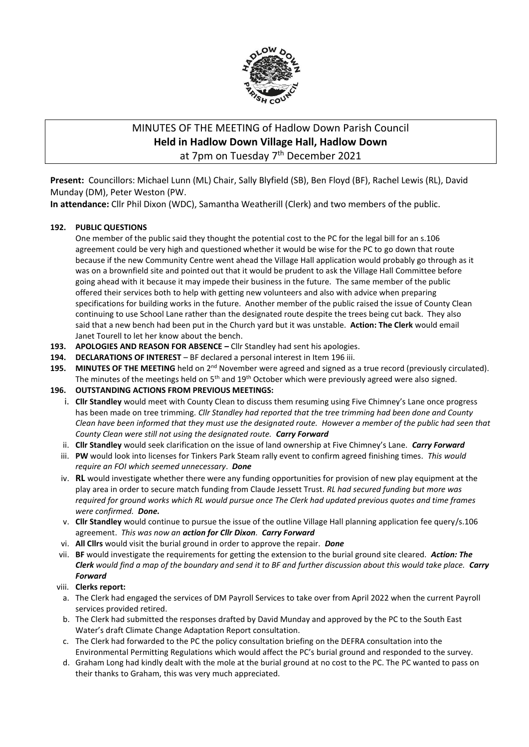

# MINUTES OF THE MEETING of Hadlow Down Parish Council **Held in Hadlow Down Village Hall, Hadlow Down** at 7pm on Tuesday 7<sup>th</sup> December 2021

**Present:** Councillors: Michael Lunn (ML) Chair, Sally Blyfield (SB), Ben Floyd (BF), Rachel Lewis (RL), David Munday (DM), Peter Weston (PW.

**In attendance:** Cllr Phil Dixon (WDC), Samantha Weatherill (Clerk) and two members of the public.

## **192. PUBLIC QUESTIONS**

One member of the public said they thought the potential cost to the PC for the legal bill for an s.106 agreement could be very high and questioned whether it would be wise for the PC to go down that route because if the new Community Centre went ahead the Village Hall application would probably go through as it was on a brownfield site and pointed out that it would be prudent to ask the Village Hall Committee before going ahead with it because it may impede their business in the future. The same member of the public offered their services both to help with getting new volunteers and also with advice when preparing specifications for building works in the future. Another member of the public raised the issue of County Clean continuing to use School Lane rather than the designated route despite the trees being cut back. They also said that a new bench had been put in the Church yard but it was unstable. **Action: The Clerk** would email Janet Tourell to let her know about the bench.

- **193. APOLOGIES AND REASON FOR ABSENCE –** Cllr Standley had sent his apologies.
- **194. DECLARATIONS OF INTEREST** BF declared a personal interest in Item 196 iii.
- 195. MINUTES OF THE MEETING held on 2<sup>nd</sup> November were agreed and signed as a true record (previously circulated). The minutes of the meetings held on  $5<sup>th</sup>$  and  $19<sup>th</sup>$  October which were previously agreed were also signed.

## **196. OUTSTANDING ACTIONS FROM PREVIOUS MEETINGS:**

- i. **Cllr Standley** would meet with County Clean to discuss them resuming using Five Chimney's Lane once progress has been made on tree trimming. *Cllr Standley had reported that the tree trimming had been done and County Clean have been informed that they must use the designated route. However a member of the public had seen that County Clean were still not using the designated route. Carry Forward*
- ii. **Cllr Standley** would seek clarification on the issue of land ownership at Five Chimney's Lane. *Carry Forward*
- iii. **PW** would look into licenses for Tinkers Park Steam rally event to confirm agreed finishing times. *This would require an FOI which seemed unnecessary*. *Done*
- iv. **RL** would investigate whether there were any funding opportunities for provision of new play equipment at the play area in order to secure match funding from Claude Jessett Trust. *RL had secured funding but more was required for ground works which RL would pursue once The Clerk had updated previous quotes and time frames were confirmed. Done.*
- v. **Cllr Standley** would continue to pursue the issue of the outline Village Hall planning application fee query/s.106 agreement. *This was now an action for Cllr Dixon. Carry Forward*
- vi. **All Cllrs** would visit the burial ground in order to approve the repair. *Done*
- vii. **BF** would investigate the requirements for getting the extension to the burial ground site cleared. *Action: The Clerk would find a map of the boundary and send it to BF and further discussion about this would take place. Carry Forward*

## viii. **Clerks report:**

- a. The Clerk had engaged the services of DM Payroll Services to take over from April 2022 when the current Payroll services provided retired.
- b. The Clerk had submitted the responses drafted by David Munday and approved by the PC to the South East Water's draft Climate Change Adaptation Report consultation.
- c. The Clerk had forwarded to the PC the policy consultation briefing on the DEFRA consultation into the Environmental Permitting Regulations which would affect the PC's burial ground and responded to the survey.
- d. Graham Long had kindly dealt with the mole at the burial ground at no cost to the PC. The PC wanted to pass on their thanks to Graham, this was very much appreciated.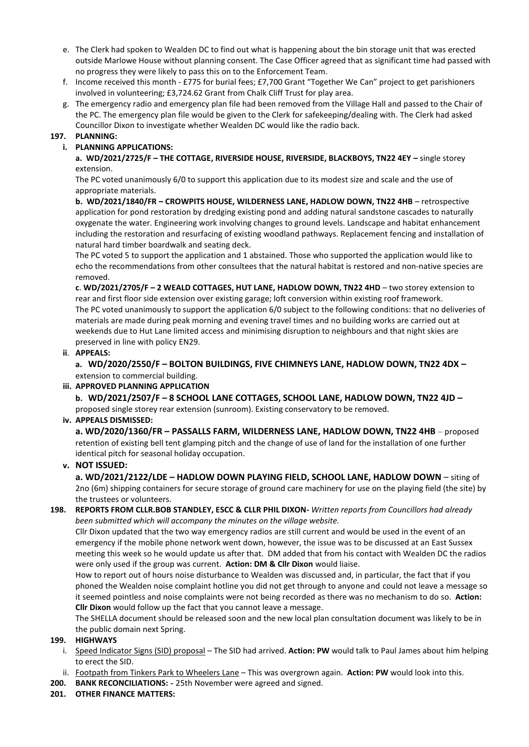- e. The Clerk had spoken to Wealden DC to find out what is happening about the bin storage unit that was erected outside Marlowe House without planning consent. The Case Officer agreed that as significant time had passed with no progress they were likely to pass this on to the Enforcement Team.
- f. Income received this month £775 for burial fees; £7,700 Grant "Together We Can" project to get parishioners involved in volunteering; £3,724.62 Grant from Chalk Cliff Trust for play area.
- g. The emergency radio and emergency plan file had been removed from the Village Hall and passed to the Chair of the PC. The emergency plan file would be given to the Clerk for safekeeping/dealing with. The Clerk had asked Councillor Dixon to investigate whether Wealden DC would like the radio back.

## **197. PLANNING:**

# **i. PLANNING APPLICATIONS:**

**a. WD/2021/2725/F – THE COTTAGE, RIVERSIDE HOUSE, RIVERSIDE, BLACKBOYS, TN22 4EY –** single storey extension.

The PC voted unanimously 6/0 to support this application due to its modest size and scale and the use of appropriate materials.

**b. WD/2021/1840/FR – CROWPITS HOUSE, WILDERNESS LANE, HADLOW DOWN, TN22 4HB** – retrospective application for pond restoration by dredging existing pond and adding natural sandstone cascades to naturally oxygenate the water. Engineering work involving changes to ground levels. Landscape and habitat enhancement including the restoration and resurfacing of existing woodland pathways. Replacement fencing and installation of natural hard timber boardwalk and seating deck.

The PC voted 5 to support the application and 1 abstained. Those who supported the application would like to echo the recommendations from other consultees that the natural habitat is restored and non-native species are removed.

**c**. **WD/2021/2705/F – 2 WEALD COTTAGES, HUT LANE, HADLOW DOWN, TN22 4HD** – two storey extension to rear and first floor side extension over existing garage; loft conversion within existing roof framework. The PC voted unanimously to support the application 6/0 subject to the following conditions: that no deliveries of materials are made during peak morning and evening travel times and no building works are carried out at weekends due to Hut Lane limited access and minimising disruption to neighbours and that night skies are preserved in line with policy EN29.

## **ii**. **APPEALS:**

**a. WD/2020/2550/F – BOLTON BUILDINGS, FIVE CHIMNEYS LANE, HADLOW DOWN, TN22 4DX –** extension to commercial building.

#### **iii. APPROVED PLANNING APPLICATION**

**b. WD/2021/2507/F – 8 SCHOOL LANE COTTAGES, SCHOOL LANE, HADLOW DOWN, TN22 4JD –** proposed single storey rear extension (sunroom). Existing conservatory to be removed.

#### **iv. APPEALS DISMISSED:**

**a. WD/2020/1360/FR – PASSALLS FARM, WILDERNESS LANE, HADLOW DOWN, TN22 4HB** – proposed retention of existing bell tent glamping pitch and the change of use of land for the installation of one further identical pitch for seasonal holiday occupation.

## **v. NOT ISSUED:**

**a. WD/2021/2122/LDE – HADLOW DOWN PLAYING FIELD, SCHOOL LANE, HADLOW DOWN** – siting of 2no (6m) shipping containers for secure storage of ground care machinery for use on the playing field (the site) by the trustees or volunteers.

#### **198. REPORTS FROM CLLR.BOB STANDLEY, ESCC & CLLR PHIL DIXON-** *Written reports from Councillors had already been submitted which will accompany the minutes on the village website.*

Cllr Dixon updated that the two way emergency radios are still current and would be used in the event of an emergency if the mobile phone network went down, however, the issue was to be discussed at an East Sussex meeting this week so he would update us after that. DM added that from his contact with Wealden DC the radios were only used if the group was current. **Action: DM & Cllr Dixon** would liaise.

How to report out of hours noise disturbance to Wealden was discussed and, in particular, the fact that if you phoned the Wealden noise complaint hotline you did not get through to anyone and could not leave a message so it seemed pointless and noise complaints were not being recorded as there was no mechanism to do so. **Action: Cllr Dixon** would follow up the fact that you cannot leave a message.

The SHELLA document should be released soon and the new local plan consultation document was likely to be in the public domain next Spring.

## **199. HIGHWAYS**

- i. Speed Indicator Signs (SID) proposal The SID had arrived. **Action: PW** would talk to Paul James about him helping to erect the SID.
- ii. Footpath from Tinkers Park to Wheelers Lane This was overgrown again. **Action: PW** would look into this.
- **200. BANK RECONCILIATIONS: -** 25th November were agreed and signed.
- **201. OTHER FINANCE MATTERS:**